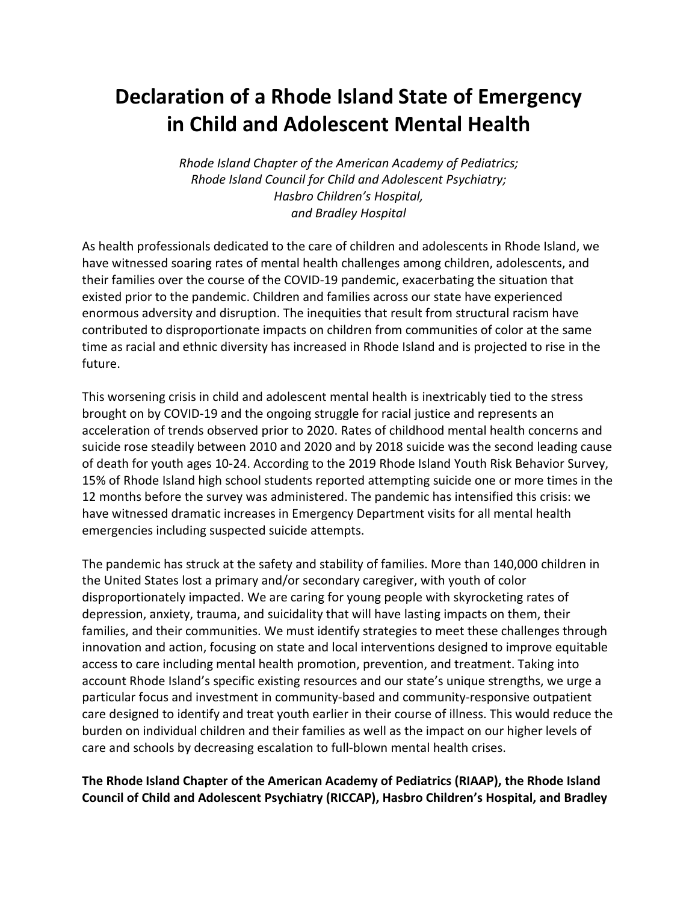## **Declaration of a Rhode Island State of Emergency in Child and Adolescent Mental Health**

*Rhode Island Chapter of the American Academy of Pediatrics; Rhode Island Council for Child and Adolescent Psychiatry; Hasbro Children's Hospital, and Bradley Hospital*

As health professionals dedicated to the care of children and adolescents in Rhode Island, we have witnessed soaring rates of mental health challenges among children, adolescents, and their families over the course of the COVID-19 pandemic, exacerbating the situation that existed prior to the pandemic. Children and families across our state have experienced enormous adversity and disruption. The inequities that result from structural racism have contributed to disproportionate impacts on children from communities of color at the same time as racial and ethnic diversity has increased in Rhode Island and is projected to rise in the future.

This worsening crisis in child and adolescent mental health is inextricably tied to the stress brought on by COVID-19 and the ongoing struggle for racial justice and represents an acceleration of trends observed prior to 2020. Rates of childhood mental health concerns and suicide rose steadily between 2010 and 2020 and by 2018 suicide was the second leading cause of death for youth ages 10-24. According to the 2019 Rhode Island Youth Risk Behavior Survey, 15% of Rhode Island high school students reported attempting suicide one or more times in the 12 months before the survey was administered. The pandemic has intensified this crisis: we have witnessed dramatic increases in Emergency Department visits for all mental health emergencies including suspected suicide attempts.

The pandemic has struck at the safety and stability of families. More than 140,000 children in the United States lost a primary and/or secondary caregiver, with youth of color disproportionately impacted. We are caring for young people with skyrocketing rates of depression, anxiety, trauma, and suicidality that will have lasting impacts on them, their families, and their communities. We must identify strategies to meet these challenges through innovation and action, focusing on state and local interventions designed to improve equitable access to care including mental health promotion, prevention, and treatment. Taking into account Rhode Island's specific existing resources and our state's unique strengths, we urge a particular focus and investment in community-based and community-responsive outpatient care designed to identify and treat youth earlier in their course of illness. This would reduce the burden on individual children and their families as well as the impact on our higher levels of care and schools by decreasing escalation to full-blown mental health crises.

**The Rhode Island Chapter of the American Academy of Pediatrics (RIAAP), the Rhode Island Council of Child and Adolescent Psychiatry (RICCAP), Hasbro Children's Hospital, and Bradley**